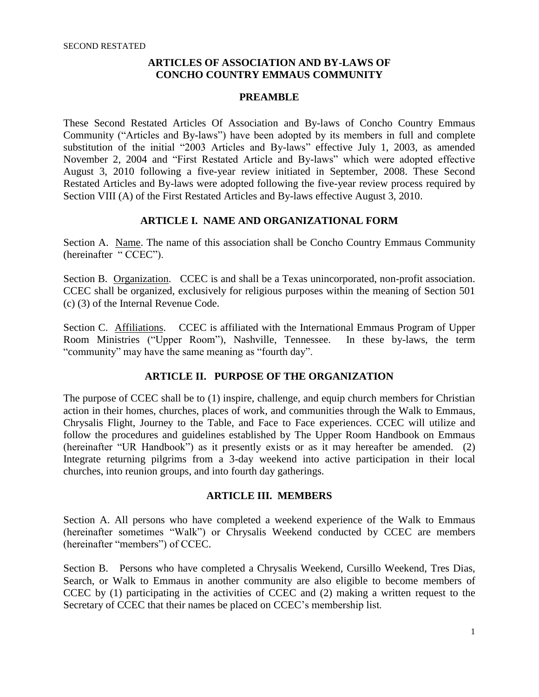#### **ARTICLES OF ASSOCIATION AND BY-LAWS OF CONCHO COUNTRY EMMAUS COMMUNITY**

#### **PREAMBLE**

These Second Restated Articles Of Association and By-laws of Concho Country Emmaus Community ("Articles and By-laws") have been adopted by its members in full and complete substitution of the initial "2003 Articles and By-laws" effective July 1, 2003, as amended November 2, 2004 and "First Restated Article and By-laws" which were adopted effective August 3, 2010 following a five-year review initiated in September, 2008. These Second Restated Articles and By-laws were adopted following the five-year review process required by Section VIII (A) of the First Restated Articles and By-laws effective August 3, 2010.

#### **ARTICLE I. NAME AND ORGANIZATIONAL FORM**

Section A. Name. The name of this association shall be Concho Country Emmaus Community (hereinafter "CCEC").

Section B. Organization. CCEC is and shall be a Texas unincorporated, non-profit association. CCEC shall be organized, exclusively for religious purposes within the meaning of Section 501 (c) (3) of the Internal Revenue Code.

Section C. Affiliations. CCEC is affiliated with the International Emmaus Program of Upper Room Ministries ("Upper Room"), Nashville, Tennessee. In these by-laws, the term "community" may have the same meaning as "fourth day".

#### **ARTICLE II. PURPOSE OF THE ORGANIZATION**

The purpose of CCEC shall be to (1) inspire, challenge, and equip church members for Christian action in their homes, churches, places of work, and communities through the Walk to Emmaus, Chrysalis Flight, Journey to the Table, and Face to Face experiences. CCEC will utilize and follow the procedures and guidelines established by The Upper Room Handbook on Emmaus (hereinafter "UR Handbook") as it presently exists or as it may hereafter be amended. (2) Integrate returning pilgrims from a 3-day weekend into active participation in their local churches, into reunion groups, and into fourth day gatherings.

### **ARTICLE III. MEMBERS**

Section A. All persons who have completed a weekend experience of the Walk to Emmaus (hereinafter sometimes "Walk") or Chrysalis Weekend conducted by CCEC are members (hereinafter "members") of CCEC.

Section B. Persons who have completed a Chrysalis Weekend, Cursillo Weekend, Tres Dias, Search, or Walk to Emmaus in another community are also eligible to become members of CCEC by (1) participating in the activities of CCEC and (2) making a written request to the Secretary of CCEC that their names be placed on CCEC's membership list.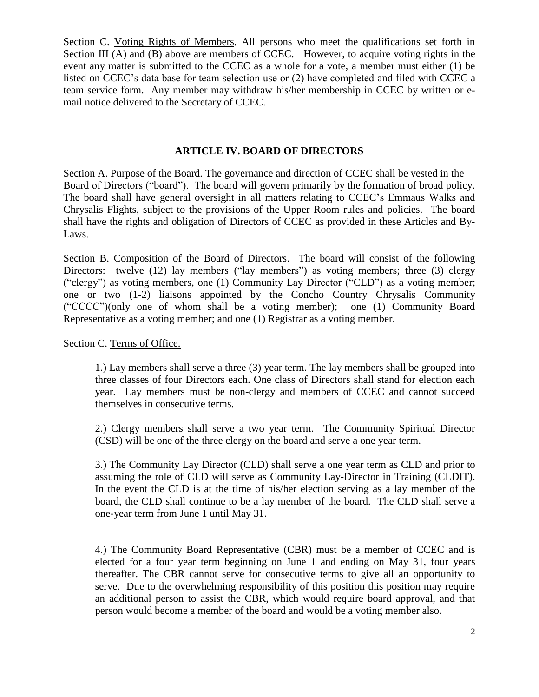Section C. Voting Rights of Members. All persons who meet the qualifications set forth in Section III (A) and (B) above are members of CCEC. However, to acquire voting rights in the event any matter is submitted to the CCEC as a whole for a vote, a member must either (1) be listed on CCEC's data base for team selection use or (2) have completed and filed with CCEC a team service form. Any member may withdraw his/her membership in CCEC by written or email notice delivered to the Secretary of CCEC.

## **ARTICLE IV. BOARD OF DIRECTORS**

Section A. Purpose of the Board. The governance and direction of CCEC shall be vested in the Board of Directors ("board"). The board will govern primarily by the formation of broad policy. The board shall have general oversight in all matters relating to CCEC's Emmaus Walks and Chrysalis Flights, subject to the provisions of the Upper Room rules and policies. The board shall have the rights and obligation of Directors of CCEC as provided in these Articles and By-Laws.

Section B. Composition of the Board of Directors. The board will consist of the following Directors: twelve (12) lay members ("lay members") as voting members; three (3) clergy ("clergy") as voting members, one (1) Community Lay Director ("CLD") as a voting member; one or two (1-2) liaisons appointed by the Concho Country Chrysalis Community ("CCCC")(only one of whom shall be a voting member); one (1) Community Board Representative as a voting member; and one (1) Registrar as a voting member.

Section C. Terms of Office.

1.) Lay members shall serve a three (3) year term. The lay members shall be grouped into three classes of four Directors each. One class of Directors shall stand for election each year. Lay members must be non-clergy and members of CCEC and cannot succeed themselves in consecutive terms.

2.) Clergy members shall serve a two year term. The Community Spiritual Director (CSD) will be one of the three clergy on the board and serve a one year term.

3.) The Community Lay Director (CLD) shall serve a one year term as CLD and prior to assuming the role of CLD will serve as Community Lay-Director in Training (CLDIT). In the event the CLD is at the time of his/her election serving as a lay member of the board, the CLD shall continue to be a lay member of the board. The CLD shall serve a one-year term from June 1 until May 31.

4.) The Community Board Representative (CBR) must be a member of CCEC and is elected for a four year term beginning on June 1 and ending on May 31, four years thereafter. The CBR cannot serve for consecutive terms to give all an opportunity to serve. Due to the overwhelming responsibility of this position this position may require an additional person to assist the CBR, which would require board approval, and that person would become a member of the board and would be a voting member also.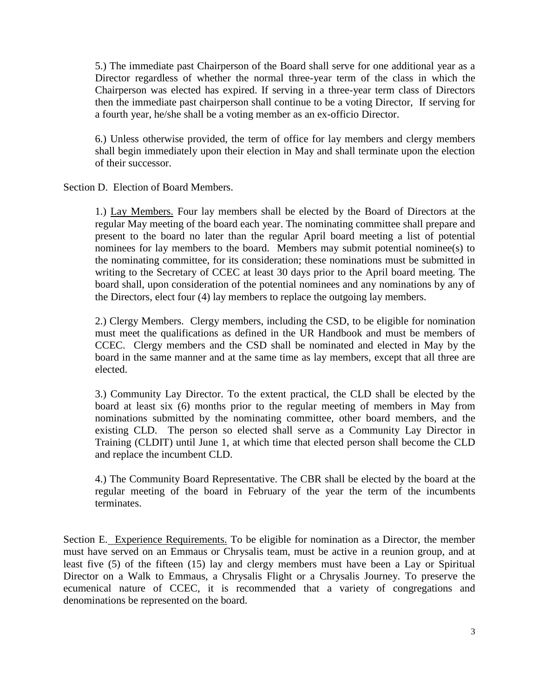5.) The immediate past Chairperson of the Board shall serve for one additional year as a Director regardless of whether the normal three-year term of the class in which the Chairperson was elected has expired. If serving in a three-year term class of Directors then the immediate past chairperson shall continue to be a voting Director, If serving for a fourth year, he/she shall be a voting member as an ex-officio Director.

6.) Unless otherwise provided, the term of office for lay members and clergy members shall begin immediately upon their election in May and shall terminate upon the election of their successor.

Section D. Election of Board Members.

1.) Lay Members. Four lay members shall be elected by the Board of Directors at the regular May meeting of the board each year. The nominating committee shall prepare and present to the board no later than the regular April board meeting a list of potential nominees for lay members to the board. Members may submit potential nominee(s) to the nominating committee, for its consideration; these nominations must be submitted in writing to the Secretary of CCEC at least 30 days prior to the April board meeting. The board shall, upon consideration of the potential nominees and any nominations by any of the Directors, elect four (4) lay members to replace the outgoing lay members.

2.) Clergy Members. Clergy members, including the CSD, to be eligible for nomination must meet the qualifications as defined in the UR Handbook and must be members of CCEC. Clergy members and the CSD shall be nominated and elected in May by the board in the same manner and at the same time as lay members, except that all three are elected.

3.) Community Lay Director. To the extent practical, the CLD shall be elected by the board at least six (6) months prior to the regular meeting of members in May from nominations submitted by the nominating committee, other board members, and the existing CLD. The person so elected shall serve as a Community Lay Director in Training (CLDIT) until June 1, at which time that elected person shall become the CLD and replace the incumbent CLD.

4.) The Community Board Representative. The CBR shall be elected by the board at the regular meeting of the board in February of the year the term of the incumbents terminates.

Section E. Experience Requirements. To be eligible for nomination as a Director, the member must have served on an Emmaus or Chrysalis team, must be active in a reunion group, and at least five (5) of the fifteen (15) lay and clergy members must have been a Lay or Spiritual Director on a Walk to Emmaus, a Chrysalis Flight or a Chrysalis Journey. To preserve the ecumenical nature of CCEC, it is recommended that a variety of congregations and denominations be represented on the board.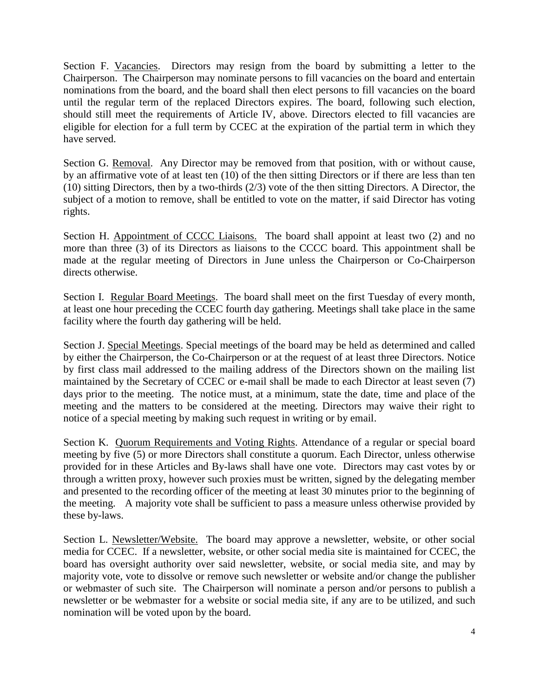Section F. Vacancies. Directors may resign from the board by submitting a letter to the Chairperson. The Chairperson may nominate persons to fill vacancies on the board and entertain nominations from the board, and the board shall then elect persons to fill vacancies on the board until the regular term of the replaced Directors expires. The board, following such election, should still meet the requirements of Article IV, above. Directors elected to fill vacancies are eligible for election for a full term by CCEC at the expiration of the partial term in which they have served.

Section G. Removal. Any Director may be removed from that position, with or without cause, by an affirmative vote of at least ten (10) of the then sitting Directors or if there are less than ten (10) sitting Directors, then by a two-thirds (2/3) vote of the then sitting Directors. A Director, the subject of a motion to remove, shall be entitled to vote on the matter, if said Director has voting rights.

Section H. Appointment of CCCC Liaisons. The board shall appoint at least two (2) and no more than three (3) of its Directors as liaisons to the CCCC board. This appointment shall be made at the regular meeting of Directors in June unless the Chairperson or Co-Chairperson directs otherwise.

Section I. Regular Board Meetings. The board shall meet on the first Tuesday of every month, at least one hour preceding the CCEC fourth day gathering. Meetings shall take place in the same facility where the fourth day gathering will be held.

Section J. Special Meetings. Special meetings of the board may be held as determined and called by either the Chairperson, the Co-Chairperson or at the request of at least three Directors. Notice by first class mail addressed to the mailing address of the Directors shown on the mailing list maintained by the Secretary of CCEC or e-mail shall be made to each Director at least seven (7) days prior to the meeting. The notice must, at a minimum, state the date, time and place of the meeting and the matters to be considered at the meeting. Directors may waive their right to notice of a special meeting by making such request in writing or by email.

Section K. Quorum Requirements and Voting Rights. Attendance of a regular or special board meeting by five (5) or more Directors shall constitute a quorum. Each Director, unless otherwise provided for in these Articles and By-laws shall have one vote. Directors may cast votes by or through a written proxy, however such proxies must be written, signed by the delegating member and presented to the recording officer of the meeting at least 30 minutes prior to the beginning of the meeting. A majority vote shall be sufficient to pass a measure unless otherwise provided by these by-laws.

Section L. Newsletter/Website. The board may approve a newsletter, website, or other social media for CCEC. If a newsletter, website, or other social media site is maintained for CCEC, the board has oversight authority over said newsletter, website, or social media site, and may by majority vote, vote to dissolve or remove such newsletter or website and/or change the publisher or webmaster of such site. The Chairperson will nominate a person and/or persons to publish a newsletter or be webmaster for a website or social media site, if any are to be utilized, and such nomination will be voted upon by the board.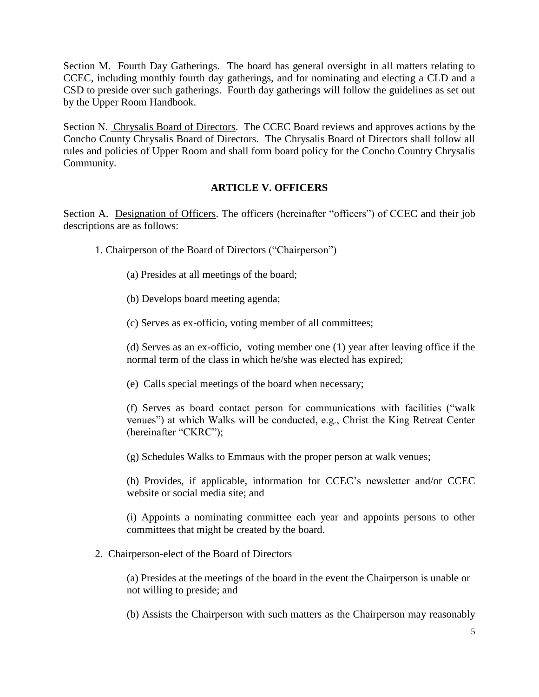Section M. Fourth Day Gatherings. The board has general oversight in all matters relating to CCEC, including monthly fourth day gatherings, and for nominating and electing a CLD and a CSD to preside over such gatherings. Fourth day gatherings will follow the guidelines as set out by the Upper Room Handbook.

Section N. Chrysalis Board of Directors. The CCEC Board reviews and approves actions by the Concho County Chrysalis Board of Directors. The Chrysalis Board of Directors shall follow all rules and policies of Upper Room and shall form board policy for the Concho Country Chrysalis Community.

### **ARTICLE V. OFFICERS**

Section A. Designation of Officers. The officers (hereinafter "officers") of CCEC and their job descriptions are as follows:

- 1. Chairperson of the Board of Directors ("Chairperson")
	- (a) Presides at all meetings of the board;
	- (b) Develops board meeting agenda;
	- (c) Serves as ex-officio, voting member of all committees;

(d) Serves as an ex-officio, voting member one (1) year after leaving office if the normal term of the class in which he/she was elected has expired;

(e) Calls special meetings of the board when necessary;

(f) Serves as board contact person for communications with facilities ("walk venues") at which Walks will be conducted, e.g., Christ the King Retreat Center (hereinafter "CKRC");

(g) Schedules Walks to Emmaus with the proper person at walk venues;

(h) Provides, if applicable, information for CCEC's newsletter and/or CCEC website or social media site; and

(i) Appoints a nominating committee each year and appoints persons to other committees that might be created by the board.

2. Chairperson-elect of the Board of Directors

(a) Presides at the meetings of the board in the event the Chairperson is unable or not willing to preside; and

(b) Assists the Chairperson with such matters as the Chairperson may reasonably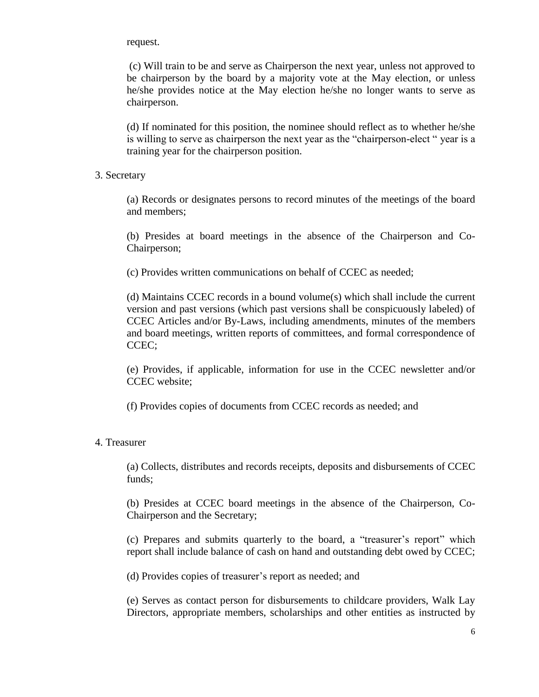request.

(c) Will train to be and serve as Chairperson the next year, unless not approved to be chairperson by the board by a majority vote at the May election, or unless he/she provides notice at the May election he/she no longer wants to serve as chairperson.

(d) If nominated for this position, the nominee should reflect as to whether he/she is willing to serve as chairperson the next year as the "chairperson-elect " year is a training year for the chairperson position.

#### 3. Secretary

(a) Records or designates persons to record minutes of the meetings of the board and members;

(b) Presides at board meetings in the absence of the Chairperson and Co-Chairperson;

(c) Provides written communications on behalf of CCEC as needed;

(d) Maintains CCEC records in a bound volume(s) which shall include the current version and past versions (which past versions shall be conspicuously labeled) of CCEC Articles and/or By-Laws, including amendments, minutes of the members and board meetings, written reports of committees, and formal correspondence of CCEC;

(e) Provides, if applicable, information for use in the CCEC newsletter and/or CCEC website;

(f) Provides copies of documents from CCEC records as needed; and

### 4. Treasurer

(a) Collects, distributes and records receipts, deposits and disbursements of CCEC funds;

(b) Presides at CCEC board meetings in the absence of the Chairperson, Co-Chairperson and the Secretary;

(c) Prepares and submits quarterly to the board, a "treasurer's report" which report shall include balance of cash on hand and outstanding debt owed by CCEC;

(d) Provides copies of treasurer's report as needed; and

(e) Serves as contact person for disbursements to childcare providers, Walk Lay Directors, appropriate members, scholarships and other entities as instructed by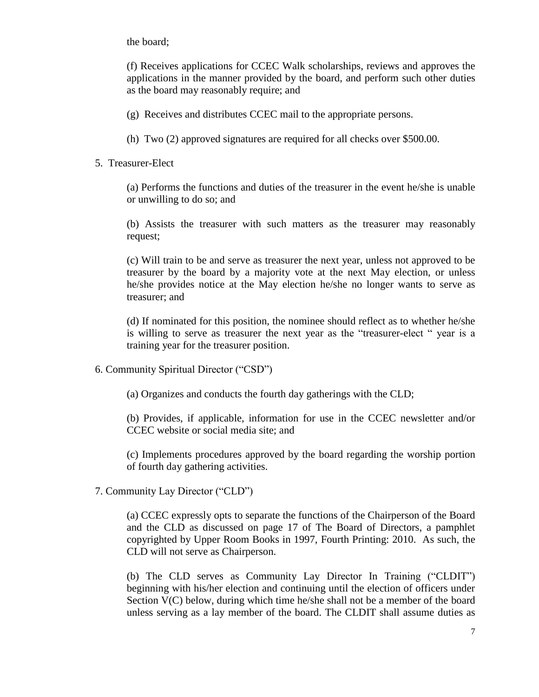the board;

(f) Receives applications for CCEC Walk scholarships, reviews and approves the applications in the manner provided by the board, and perform such other duties as the board may reasonably require; and

- (g) Receives and distributes CCEC mail to the appropriate persons.
- (h) Two (2) approved signatures are required for all checks over \$500.00.
- 5. Treasurer-Elect

(a) Performs the functions and duties of the treasurer in the event he/she is unable or unwilling to do so; and

(b) Assists the treasurer with such matters as the treasurer may reasonably request;

(c) Will train to be and serve as treasurer the next year, unless not approved to be treasurer by the board by a majority vote at the next May election, or unless he/she provides notice at the May election he/she no longer wants to serve as treasurer; and

(d) If nominated for this position, the nominee should reflect as to whether he/she is willing to serve as treasurer the next year as the "treasurer-elect " year is a training year for the treasurer position.

- 6. Community Spiritual Director ("CSD")
	- (a) Organizes and conducts the fourth day gatherings with the CLD;

(b) Provides, if applicable, information for use in the CCEC newsletter and/or CCEC website or social media site; and

(c) Implements procedures approved by the board regarding the worship portion of fourth day gathering activities.

7. Community Lay Director ("CLD")

(a) CCEC expressly opts to separate the functions of the Chairperson of the Board and the CLD as discussed on page 17 of The Board of Directors, a pamphlet copyrighted by Upper Room Books in 1997, Fourth Printing: 2010. As such, the CLD will not serve as Chairperson.

(b) The CLD serves as Community Lay Director In Training ("CLDIT") beginning with his/her election and continuing until the election of officers under Section V(C) below, during which time he/she shall not be a member of the board unless serving as a lay member of the board. The CLDIT shall assume duties as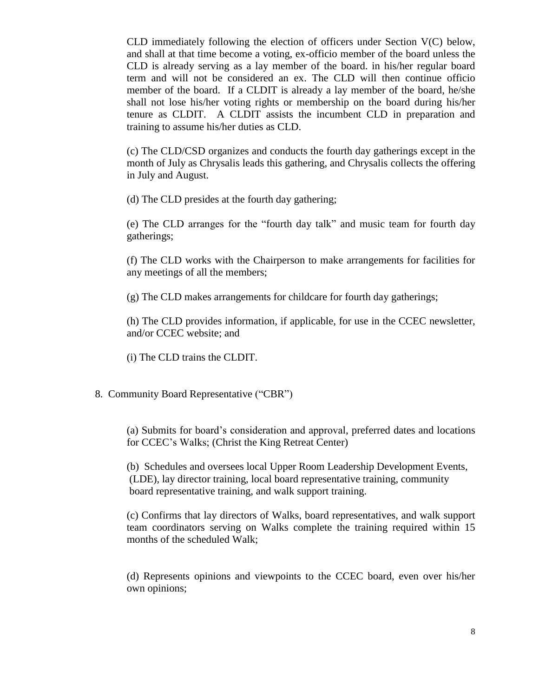CLD immediately following the election of officers under Section V(C) below, and shall at that time become a voting, ex-officio member of the board unless the CLD is already serving as a lay member of the board. in his/her regular board term and will not be considered an ex. The CLD will then continue officio member of the board. If a CLDIT is already a lay member of the board, he/she shall not lose his/her voting rights or membership on the board during his/her tenure as CLDIT. A CLDIT assists the incumbent CLD in preparation and training to assume his/her duties as CLD.

(c) The CLD/CSD organizes and conducts the fourth day gatherings except in the month of July as Chrysalis leads this gathering, and Chrysalis collects the offering in July and August.

(d) The CLD presides at the fourth day gathering;

(e) The CLD arranges for the "fourth day talk" and music team for fourth day gatherings;

(f) The CLD works with the Chairperson to make arrangements for facilities for any meetings of all the members;

(g) The CLD makes arrangements for childcare for fourth day gatherings;

(h) The CLD provides information, if applicable, for use in the CCEC newsletter, and/or CCEC website; and

(i) The CLD trains the CLDIT.

8. Community Board Representative ("CBR")

(a) Submits for board's consideration and approval, preferred dates and locations for CCEC's Walks; (Christ the King Retreat Center)

(b) Schedules and oversees local Upper Room Leadership Development Events, (LDE), lay director training, local board representative training, community board representative training, and walk support training.

(c) Confirms that lay directors of Walks, board representatives, and walk support team coordinators serving on Walks complete the training required within 15 months of the scheduled Walk;

(d) Represents opinions and viewpoints to the CCEC board, even over his/her own opinions;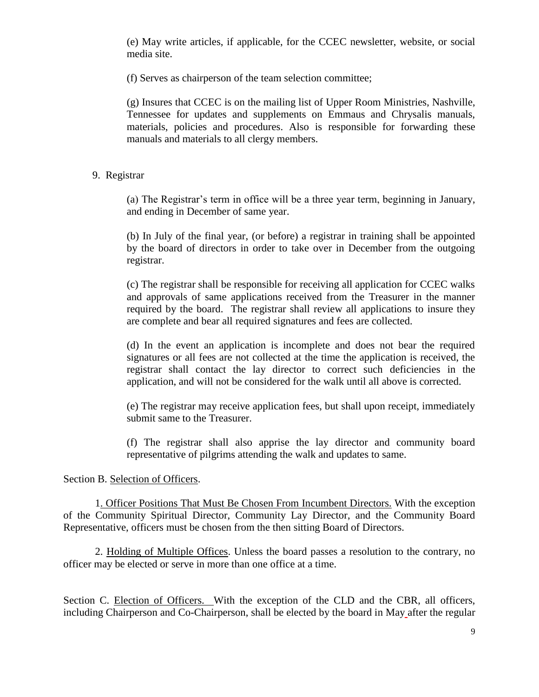(e) May write articles, if applicable, for the CCEC newsletter, website, or social media site.

(f) Serves as chairperson of the team selection committee;

(g) Insures that CCEC is on the mailing list of Upper Room Ministries, Nashville, Tennessee for updates and supplements on Emmaus and Chrysalis manuals, materials, policies and procedures. Also is responsible for forwarding these manuals and materials to all clergy members.

### 9. Registrar

(a) The Registrar's term in office will be a three year term, beginning in January, and ending in December of same year.

(b) In July of the final year, (or before) a registrar in training shall be appointed by the board of directors in order to take over in December from the outgoing registrar.

(c) The registrar shall be responsible for receiving all application for CCEC walks and approvals of same applications received from the Treasurer in the manner required by the board. The registrar shall review all applications to insure they are complete and bear all required signatures and fees are collected.

(d) In the event an application is incomplete and does not bear the required signatures or all fees are not collected at the time the application is received, the registrar shall contact the lay director to correct such deficiencies in the application, and will not be considered for the walk until all above is corrected.

(e) The registrar may receive application fees, but shall upon receipt, immediately submit same to the Treasurer.

(f) The registrar shall also apprise the lay director and community board representative of pilgrims attending the walk and updates to same.

Section B. Selection of Officers.

1. Officer Positions That Must Be Chosen From Incumbent Directors. With the exception of the Community Spiritual Director, Community Lay Director, and the Community Board Representative, officers must be chosen from the then sitting Board of Directors.

2. Holding of Multiple Offices. Unless the board passes a resolution to the contrary, no officer may be elected or serve in more than one office at a time.

Section C. Election of Officers. With the exception of the CLD and the CBR, all officers, including Chairperson and Co-Chairperson, shall be elected by the board in May after the regular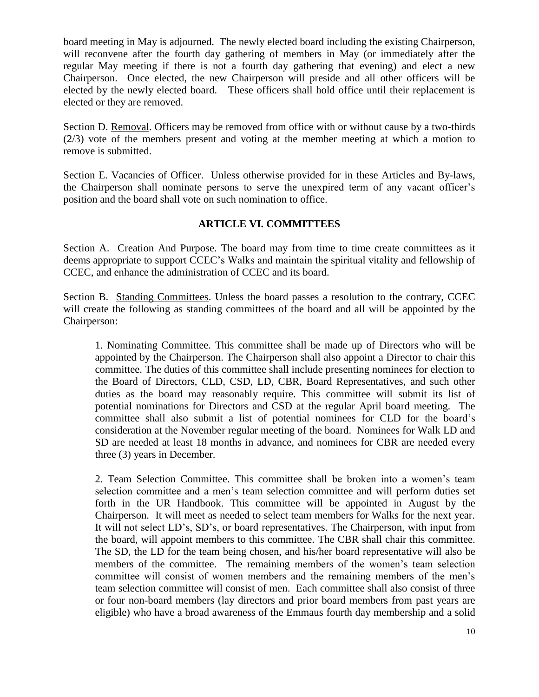board meeting in May is adjourned. The newly elected board including the existing Chairperson, will reconvene after the fourth day gathering of members in May (or immediately after the regular May meeting if there is not a fourth day gathering that evening) and elect a new Chairperson. Once elected, the new Chairperson will preside and all other officers will be elected by the newly elected board. These officers shall hold office until their replacement is elected or they are removed.

Section D. Removal. Officers may be removed from office with or without cause by a two-thirds (2/3) vote of the members present and voting at the member meeting at which a motion to remove is submitted.

Section E. Vacancies of Officer. Unless otherwise provided for in these Articles and By-laws, the Chairperson shall nominate persons to serve the unexpired term of any vacant officer's position and the board shall vote on such nomination to office.

## **ARTICLE VI. COMMITTEES**

Section A. Creation And Purpose. The board may from time to time create committees as it deems appropriate to support CCEC's Walks and maintain the spiritual vitality and fellowship of CCEC, and enhance the administration of CCEC and its board.

Section B. Standing Committees. Unless the board passes a resolution to the contrary, CCEC will create the following as standing committees of the board and all will be appointed by the Chairperson:

1. Nominating Committee. This committee shall be made up of Directors who will be appointed by the Chairperson. The Chairperson shall also appoint a Director to chair this committee. The duties of this committee shall include presenting nominees for election to the Board of Directors, CLD, CSD, LD, CBR, Board Representatives, and such other duties as the board may reasonably require. This committee will submit its list of potential nominations for Directors and CSD at the regular April board meeting. The committee shall also submit a list of potential nominees for CLD for the board's consideration at the November regular meeting of the board. Nominees for Walk LD and SD are needed at least 18 months in advance, and nominees for CBR are needed every three (3) years in December.

2. Team Selection Committee. This committee shall be broken into a women's team selection committee and a men's team selection committee and will perform duties set forth in the UR Handbook. This committee will be appointed in August by the Chairperson. It will meet as needed to select team members for Walks for the next year. It will not select LD's, SD's, or board representatives. The Chairperson, with input from the board, will appoint members to this committee. The CBR shall chair this committee. The SD, the LD for the team being chosen, and his/her board representative will also be members of the committee. The remaining members of the women's team selection committee will consist of women members and the remaining members of the men's team selection committee will consist of men. Each committee shall also consist of three or four non-board members (lay directors and prior board members from past years are eligible) who have a broad awareness of the Emmaus fourth day membership and a solid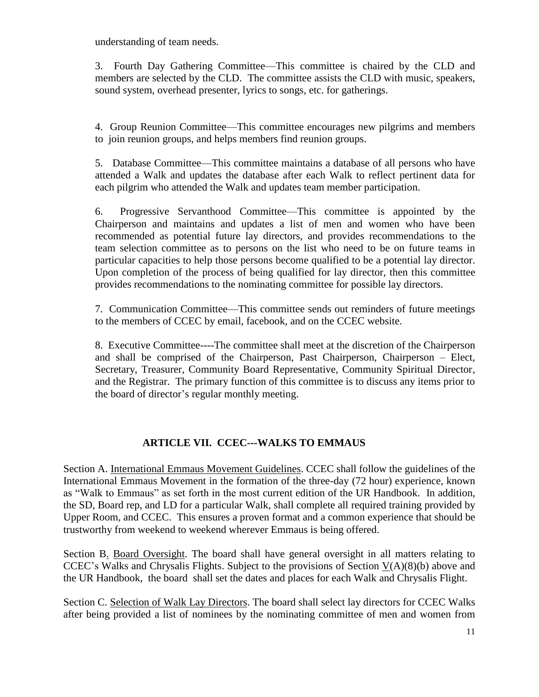understanding of team needs.

3. Fourth Day Gathering Committee—This committee is chaired by the CLD and members are selected by the CLD. The committee assists the CLD with music, speakers, sound system, overhead presenter, lyrics to songs, etc. for gatherings.

4. Group Reunion Committee—This committee encourages new pilgrims and members to join reunion groups, and helps members find reunion groups.

5. Database Committee—This committee maintains a database of all persons who have attended a Walk and updates the database after each Walk to reflect pertinent data for each pilgrim who attended the Walk and updates team member participation.

6. Progressive Servanthood Committee—This committee is appointed by the Chairperson and maintains and updates a list of men and women who have been recommended as potential future lay directors, and provides recommendations to the team selection committee as to persons on the list who need to be on future teams in particular capacities to help those persons become qualified to be a potential lay director. Upon completion of the process of being qualified for lay director, then this committee provides recommendations to the nominating committee for possible lay directors.

7. Communication Committee—This committee sends out reminders of future meetings to the members of CCEC by email, facebook, and on the CCEC website.

8. Executive Committee----The committee shall meet at the discretion of the Chairperson and shall be comprised of the Chairperson, Past Chairperson, Chairperson – Elect, Secretary, Treasurer, Community Board Representative, Community Spiritual Director, and the Registrar. The primary function of this committee is to discuss any items prior to the board of director's regular monthly meeting.

# **ARTICLE VII. CCEC---WALKS TO EMMAUS**

Section A. International Emmaus Movement Guidelines. CCEC shall follow the guidelines of the International Emmaus Movement in the formation of the three-day (72 hour) experience, known as "Walk to Emmaus" as set forth in the most current edition of the UR Handbook. In addition, the SD, Board rep, and LD for a particular Walk, shall complete all required training provided by Upper Room, and CCEC. This ensures a proven format and a common experience that should be trustworthy from weekend to weekend wherever Emmaus is being offered.

Section B. Board Oversight. The board shall have general oversight in all matters relating to CCEC's Walks and Chrysalis Flights. Subject to the provisions of Section  $V(A)(8)(b)$  above and the UR Handbook, the board shall set the dates and places for each Walk and Chrysalis Flight.

Section C. Selection of Walk Lay Directors. The board shall select lay directors for CCEC Walks after being provided a list of nominees by the nominating committee of men and women from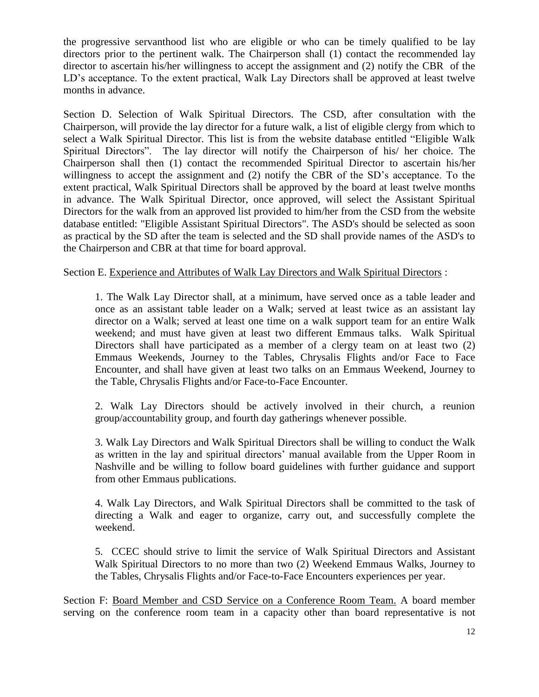the progressive servanthood list who are eligible or who can be timely qualified to be lay directors prior to the pertinent walk. The Chairperson shall (1) contact the recommended lay director to ascertain his/her willingness to accept the assignment and (2) notify the CBR of the LD's acceptance. To the extent practical, Walk Lay Directors shall be approved at least twelve months in advance.

Section D. Selection of Walk Spiritual Directors. The CSD, after consultation with the Chairperson, will provide the lay director for a future walk, a list of eligible clergy from which to select a Walk Spiritual Director. This list is from the website database entitled "Eligible Walk Spiritual Directors". The lay director will notify the Chairperson of his/ her choice. The Chairperson shall then (1) contact the recommended Spiritual Director to ascertain his/her willingness to accept the assignment and (2) notify the CBR of the SD's acceptance. To the extent practical, Walk Spiritual Directors shall be approved by the board at least twelve months in advance. The Walk Spiritual Director, once approved, will select the Assistant Spiritual Directors for the walk from an approved list provided to him/her from the CSD from the website database entitled: "Eligible Assistant Spiritual Directors". The ASD's should be selected as soon as practical by the SD after the team is selected and the SD shall provide names of the ASD's to the Chairperson and CBR at that time for board approval.

Section E. Experience and Attributes of Walk Lay Directors and Walk Spiritual Directors :

1. The Walk Lay Director shall, at a minimum, have served once as a table leader and once as an assistant table leader on a Walk; served at least twice as an assistant lay director on a Walk; served at least one time on a walk support team for an entire Walk weekend; and must have given at least two different Emmaus talks. Walk Spiritual Directors shall have participated as a member of a clergy team on at least two (2) Emmaus Weekends, Journey to the Tables, Chrysalis Flights and/or Face to Face Encounter, and shall have given at least two talks on an Emmaus Weekend, Journey to the Table, Chrysalis Flights and/or Face-to-Face Encounter.

2. Walk Lay Directors should be actively involved in their church, a reunion group/accountability group, and fourth day gatherings whenever possible.

3. Walk Lay Directors and Walk Spiritual Directors shall be willing to conduct the Walk as written in the lay and spiritual directors' manual available from the Upper Room in Nashville and be willing to follow board guidelines with further guidance and support from other Emmaus publications.

4. Walk Lay Directors, and Walk Spiritual Directors shall be committed to the task of directing a Walk and eager to organize, carry out, and successfully complete the weekend.

5. CCEC should strive to limit the service of Walk Spiritual Directors and Assistant Walk Spiritual Directors to no more than two (2) Weekend Emmaus Walks, Journey to the Tables, Chrysalis Flights and/or Face-to-Face Encounters experiences per year.

Section F: Board Member and CSD Service on a Conference Room Team. A board member serving on the conference room team in a capacity other than board representative is not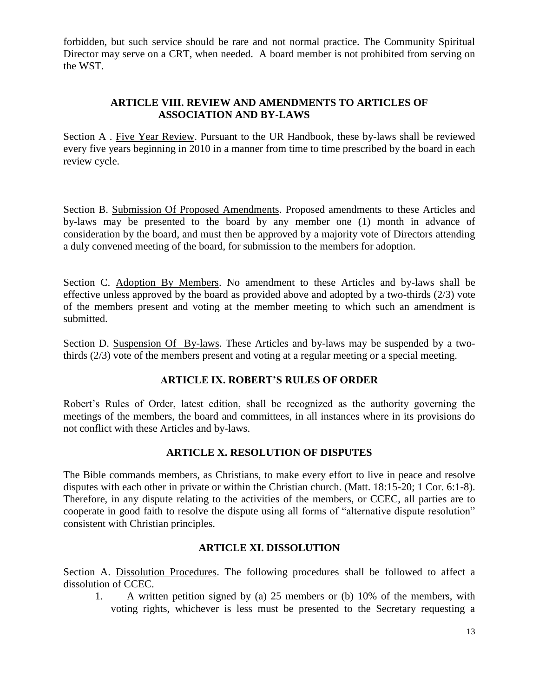forbidden, but such service should be rare and not normal practice. The Community Spiritual Director may serve on a CRT, when needed. A board member is not prohibited from serving on the WST.

## **ARTICLE VIII. REVIEW AND AMENDMENTS TO ARTICLES OF ASSOCIATION AND BY-LAWS**

Section A . Five Year Review. Pursuant to the UR Handbook, these by-laws shall be reviewed every five years beginning in 2010 in a manner from time to time prescribed by the board in each review cycle.

Section B. Submission Of Proposed Amendments. Proposed amendments to these Articles and by-laws may be presented to the board by any member one (1) month in advance of consideration by the board, and must then be approved by a majority vote of Directors attending a duly convened meeting of the board, for submission to the members for adoption.

Section C. Adoption By Members. No amendment to these Articles and by-laws shall be effective unless approved by the board as provided above and adopted by a two-thirds (2/3) vote of the members present and voting at the member meeting to which such an amendment is submitted.

Section D. Suspension Of By-laws. These Articles and by-laws may be suspended by a twothirds (2/3) vote of the members present and voting at a regular meeting or a special meeting.

## **ARTICLE IX. ROBERT'S RULES OF ORDER**

Robert's Rules of Order, latest edition, shall be recognized as the authority governing the meetings of the members, the board and committees, in all instances where in its provisions do not conflict with these Articles and by-laws.

## **ARTICLE X. RESOLUTION OF DISPUTES**

The Bible commands members, as Christians, to make every effort to live in peace and resolve disputes with each other in private or within the Christian church. (Matt. 18:15-20; 1 Cor. 6:1-8). Therefore, in any dispute relating to the activities of the members, or CCEC, all parties are to cooperate in good faith to resolve the dispute using all forms of "alternative dispute resolution" consistent with Christian principles.

## **ARTICLE XI. DISSOLUTION**

Section A. Dissolution Procedures. The following procedures shall be followed to affect a dissolution of CCEC.

1. A written petition signed by (a) 25 members or (b) 10% of the members, with voting rights, whichever is less must be presented to the Secretary requesting a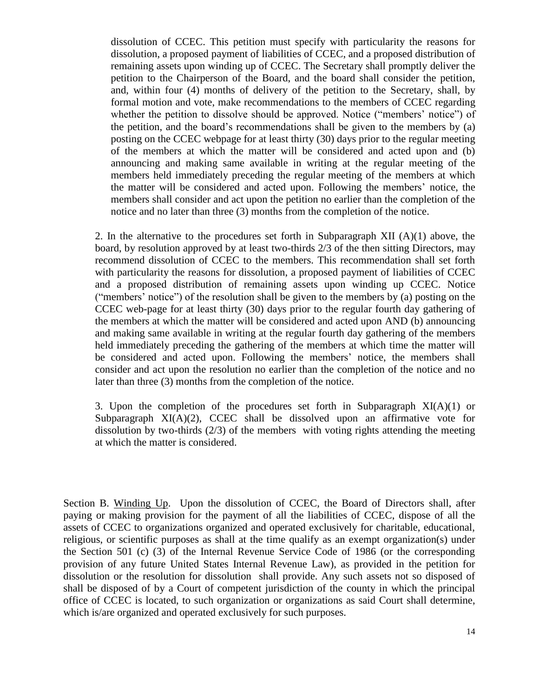dissolution of CCEC. This petition must specify with particularity the reasons for dissolution, a proposed payment of liabilities of CCEC, and a proposed distribution of remaining assets upon winding up of CCEC. The Secretary shall promptly deliver the petition to the Chairperson of the Board, and the board shall consider the petition, and, within four (4) months of delivery of the petition to the Secretary, shall, by formal motion and vote, make recommendations to the members of CCEC regarding whether the petition to dissolve should be approved. Notice ("members' notice") of the petition, and the board's recommendations shall be given to the members by (a) posting on the CCEC webpage for at least thirty (30) days prior to the regular meeting of the members at which the matter will be considered and acted upon and (b) announcing and making same available in writing at the regular meeting of the members held immediately preceding the regular meeting of the members at which the matter will be considered and acted upon. Following the members' notice, the members shall consider and act upon the petition no earlier than the completion of the notice and no later than three (3) months from the completion of the notice.

2. In the alternative to the procedures set forth in Subparagraph XII  $(A)(1)$  above, the board, by resolution approved by at least two-thirds 2/3 of the then sitting Directors, may recommend dissolution of CCEC to the members. This recommendation shall set forth with particularity the reasons for dissolution, a proposed payment of liabilities of CCEC and a proposed distribution of remaining assets upon winding up CCEC. Notice ("members' notice") of the resolution shall be given to the members by (a) posting on the CCEC web-page for at least thirty (30) days prior to the regular fourth day gathering of the members at which the matter will be considered and acted upon AND (b) announcing and making same available in writing at the regular fourth day gathering of the members held immediately preceding the gathering of the members at which time the matter will be considered and acted upon. Following the members' notice, the members shall consider and act upon the resolution no earlier than the completion of the notice and no later than three (3) months from the completion of the notice.

3. Upon the completion of the procedures set forth in Subparagraph  $XI(A)(1)$  or Subparagraph  $XI(A)(2)$ , CCEC shall be dissolved upon an affirmative vote for dissolution by two-thirds (2/3) of the members with voting rights attending the meeting at which the matter is considered.

Section B. Winding Up. Upon the dissolution of CCEC, the Board of Directors shall, after paying or making provision for the payment of all the liabilities of CCEC, dispose of all the assets of CCEC to organizations organized and operated exclusively for charitable, educational, religious, or scientific purposes as shall at the time qualify as an exempt organization(s) under the Section 501 (c) (3) of the Internal Revenue Service Code of 1986 (or the corresponding provision of any future United States Internal Revenue Law), as provided in the petition for dissolution or the resolution for dissolution shall provide. Any such assets not so disposed of shall be disposed of by a Court of competent jurisdiction of the county in which the principal office of CCEC is located, to such organization or organizations as said Court shall determine, which is/are organized and operated exclusively for such purposes.